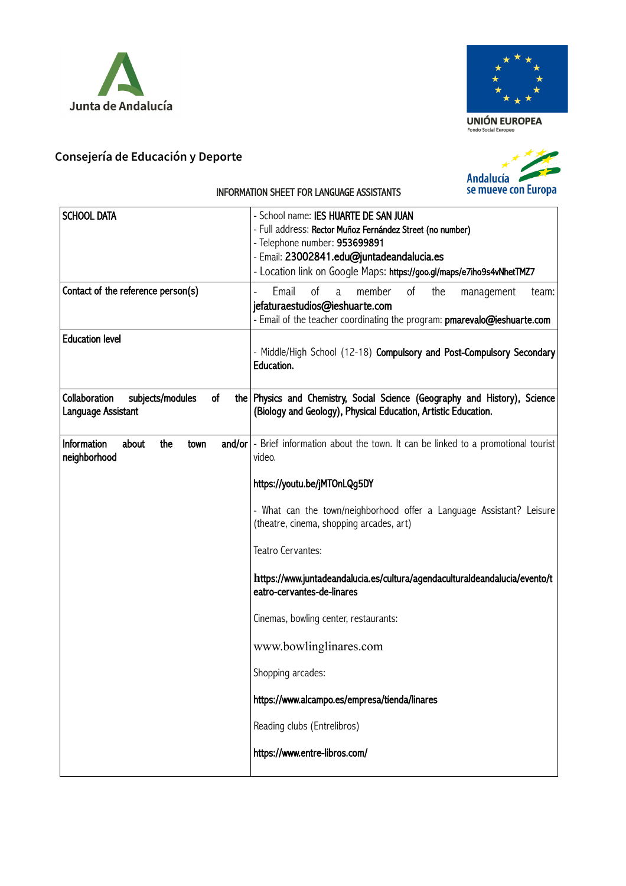



 $\mathop{\hbox{\rm UNI}}\limits_{\hbox{\scriptsize\it\footnotesize\rm{Gondo}\;Social\;Europeo}} \mathop{\hbox{\rm EUROPEA}}$ 

## **Consejería de Educación y Deporte**



## INFORMATION SHEET FOR LANGUAGE ASSISTANTS

| <b>SCHOOL DATA</b>                                            | - School name: IES HUARTE DE SAN JUAN<br>- Full address: Rector Muñoz Fernández Street (no number)<br>- Telephone number: 953699891<br>- Email: 23002841.edu@juntadeandalucia.es<br>- Location link on Google Maps: https://goo.gl/maps/e7iho9s4vNhetTMZ7 |
|---------------------------------------------------------------|-----------------------------------------------------------------------------------------------------------------------------------------------------------------------------------------------------------------------------------------------------------|
| Contact of the reference person(s)                            | of<br>Email<br>member<br>of<br>the<br>a<br>management<br>team:<br>jefaturaestudios@ieshuarte.com<br>- Email of the teacher coordinating the program: pmarevalo@ieshuarte.com                                                                              |
| <b>Education level</b>                                        | - Middle/High School (12-18) Compulsory and Post-Compulsory Secondary<br>Education.                                                                                                                                                                       |
| Collaboration<br>subjects/modules<br>of<br>Language Assistant | the Physics and Chemistry, Social Science (Geography and History), Science<br>(Biology and Geology), Physical Education, Artistic Education.                                                                                                              |
| Information<br>about<br>the<br>town<br>neighborhood           | $and/or$ - Brief information about the town. It can be linked to a promotional tourist<br>video.<br>https://youtu.be/jMTOnLQg5DY                                                                                                                          |
|                                                               | - What can the town/neighborhood offer a Language Assistant? Leisure<br>(theatre, cinema, shopping arcades, art)                                                                                                                                          |
|                                                               | Teatro Cervantes:                                                                                                                                                                                                                                         |
|                                                               | https://www.juntadeandalucia.es/cultura/agendaculturaldeandalucia/evento/t<br>eatro-cervantes-de-linares                                                                                                                                                  |
|                                                               | Cinemas, bowling center, restaurants:                                                                                                                                                                                                                     |
|                                                               | www.bowlinglinares.com                                                                                                                                                                                                                                    |
|                                                               | Shopping arcades:                                                                                                                                                                                                                                         |
|                                                               | https://www.alcampo.es/empresa/tienda/linares                                                                                                                                                                                                             |
|                                                               | Reading clubs (Entrelibros)                                                                                                                                                                                                                               |
|                                                               | https://www.entre-libros.com/                                                                                                                                                                                                                             |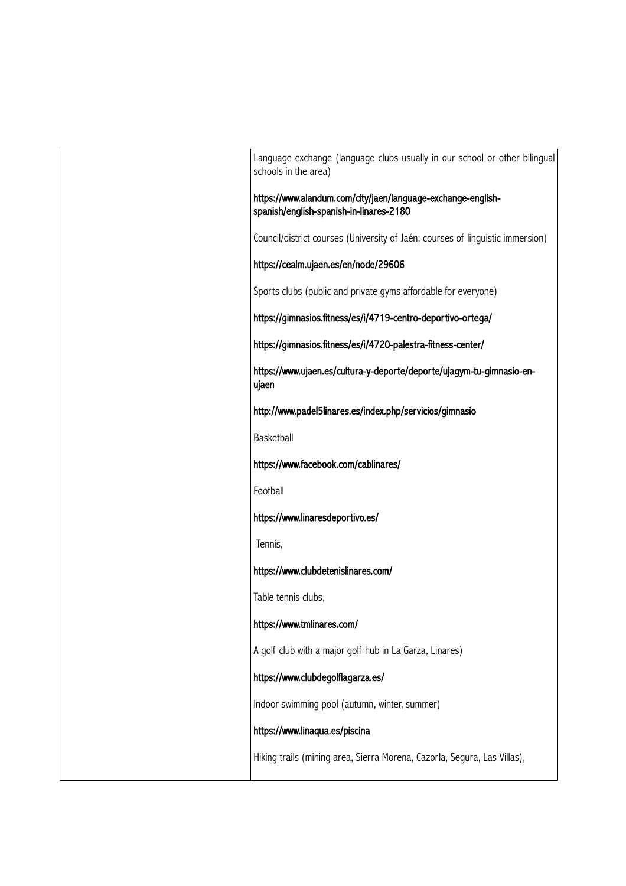Language exchange (language clubs usually in our school or other bilingual schools in the area)

https://www.alandum.com/city/jaen/language-exchange-englishspanish/english-spanish-in-linares-2180

Council/district courses (University of Jaén: courses of linguistic immersion)

https://cealm.ujaen.es/en/node/29606

Sports clubs (public and private gyms affordable for everyone)

https://gimnasios.fitness/es/i/4719-centro-deportivo-ortega/

https://gimnasios.fitness/es/i/4720-palestra-fitness-center/

https://www.ujaen.es/cultura-y-deporte/deporte/ujagym-tu-gimnasio-enujaen

http://www.padel5linares.es/index.php/servicios/gimnasio

Basketball

https://www.facebook.com/cablinares/

Football

https://www.linaresdeportivo.es/

Tennis,

https://www.clubdetenislinares.com/

Table tennis clubs,

https://www.tmlinares.com/

A golf club with a major golf hub in La Garza, Linares)

https://www.clubdegolflagarza.es/

Indoor swimming pool (autumn, winter, summer)

https://www.linaqua.es/piscina

Hiking trails (mining area, Sierra Morena, Cazorla, Segura, Las Villas),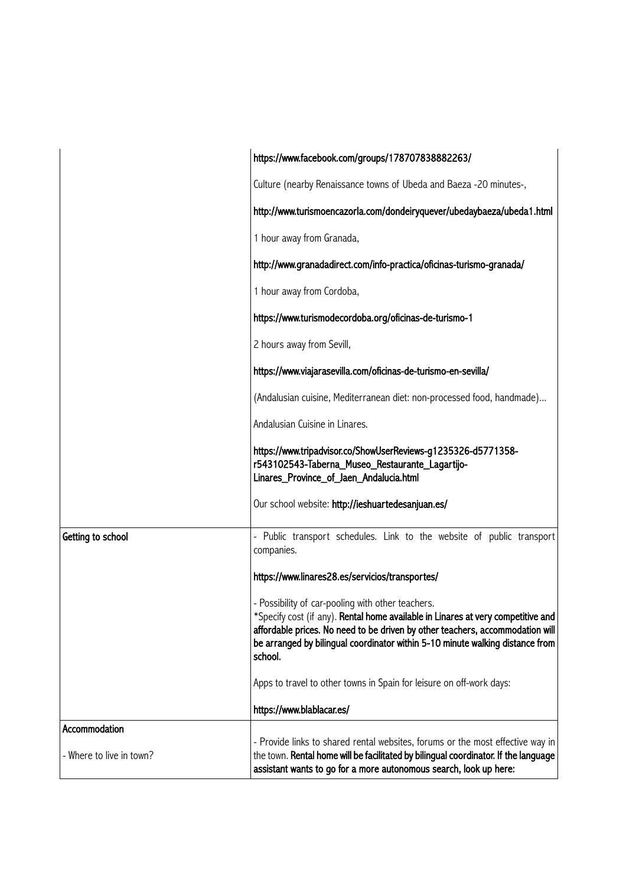|                                           | https://www.facebook.com/groups/178707838882263/                                                                                                                                                                                                                                                                   |
|-------------------------------------------|--------------------------------------------------------------------------------------------------------------------------------------------------------------------------------------------------------------------------------------------------------------------------------------------------------------------|
|                                           | Culture (nearby Renaissance towns of Ubeda and Baeza -20 minutes-,                                                                                                                                                                                                                                                 |
|                                           | http://www.turismoencazorla.com/dondeiryquever/ubedaybaeza/ubeda1.html                                                                                                                                                                                                                                             |
|                                           | 1 hour away from Granada,                                                                                                                                                                                                                                                                                          |
|                                           | http://www.granadadirect.com/info-practica/oficinas-turismo-granada/                                                                                                                                                                                                                                               |
|                                           | 1 hour away from Cordoba,                                                                                                                                                                                                                                                                                          |
|                                           | https://www.turismodecordoba.org/oficinas-de-turismo-1                                                                                                                                                                                                                                                             |
|                                           | 2 hours away from Sevill,                                                                                                                                                                                                                                                                                          |
|                                           | https://www.viajarasevilla.com/oficinas-de-turismo-en-sevilla/                                                                                                                                                                                                                                                     |
|                                           | (Andalusian cuisine, Mediterranean diet: non-processed food, handmade)                                                                                                                                                                                                                                             |
|                                           | Andalusian Cuisine in Linares.                                                                                                                                                                                                                                                                                     |
|                                           | https://www.tripadvisor.co/ShowUserReviews-g1235326-d5771358-<br>r543102543-Taberna_Museo_Restaurante_Lagartijo-<br>Linares_Province_of_Jaen_Andalucia.html                                                                                                                                                        |
|                                           | Our school website: http://ieshuartedesanjuan.es/                                                                                                                                                                                                                                                                  |
| Getting to school                         | - Public transport schedules. Link to the website of public transport<br>companies.                                                                                                                                                                                                                                |
|                                           | https://www.linares28.es/servicios/transportes/                                                                                                                                                                                                                                                                    |
|                                           | - Possibility of car-pooling with other teachers.<br>*Specify cost (if any). Rental home available in Linares at very competitive and<br>affordable prices. No need to be driven by other teachers, accommodation will<br>be arranged by bilingual coordinator within 5-10 minute walking distance from<br>school. |
|                                           | Apps to travel to other towns in Spain for leisure on off-work days:                                                                                                                                                                                                                                               |
|                                           | https://www.blablacar.es/                                                                                                                                                                                                                                                                                          |
| Accommodation<br>- Where to live in town? | - Provide links to shared rental websites, forums or the most effective way in<br>the town. Rental home will be facilitated by bilingual coordinator. If the language<br>assistant wants to go for a more autonomous search, look up here:                                                                         |